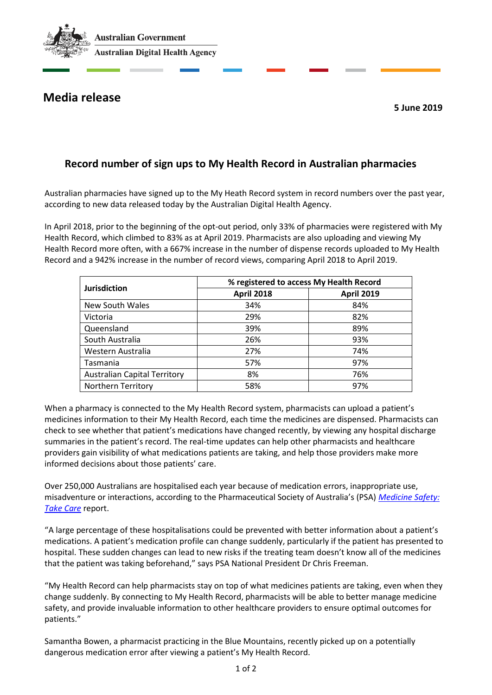

## **Media release**

**5 June 2019**

## **Record number of sign ups to My Health Record in Australian pharmacies**

Australian pharmacies have signed up to the My Heath Record system in record numbers over the past year, according to new data released today by the Australian Digital Health Agency.

In April 2018, prior to the beginning of the opt-out period, only 33% of pharmacies were registered with My Health Record, which climbed to 83% as at April 2019. Pharmacists are also uploading and viewing My Health Record more often, with a 667% increase in the number of dispense records uploaded to My Health Record and a 942% increase in the number of record views, comparing April 2018 to April 2019.

| <b>Jurisdiction</b>                 | % registered to access My Health Record |                   |
|-------------------------------------|-----------------------------------------|-------------------|
|                                     | <b>April 2018</b>                       | <b>April 2019</b> |
| New South Wales                     | 34%                                     | 84%               |
| Victoria                            | 29%                                     | 82%               |
| Queensland                          | 39%                                     | 89%               |
| South Australia                     | 26%                                     | 93%               |
| Western Australia                   | 27%                                     | 74%               |
| Tasmania                            | 57%                                     | 97%               |
| <b>Australian Capital Territory</b> | 8%                                      | 76%               |
| <b>Northern Territory</b>           | 58%                                     | 97%               |

When a pharmacy is connected to the My Health Record system, pharmacists can upload a patient's medicines information to their My Health Record, each time the medicines are dispensed. Pharmacists can check to see whether that patient's medications have changed recently, by viewing any hospital discharge summaries in the patient's record. The real-time updates can help other pharmacists and healthcare providers gain visibility of what medications patients are taking, and help those providers make more informed decisions about those patients' care.

Over 250,000 Australians are hospitalised each year because of medication errors, inappropriate use, misadventure or interactions, according to the Pharmaceutical Society of Australia's (PSA) *[Medicine Safety:](https://www.psa.org.au/advocacy/working-for-our-profession/medicine-safety/)  [Take Care](https://www.psa.org.au/advocacy/working-for-our-profession/medicine-safety/)* report.

"A large percentage of these hospitalisations could be prevented with better information about a patient's medications. A patient's medication profile can change suddenly, particularly if the patient has presented to hospital. These sudden changes can lead to new risks if the treating team doesn't know all of the medicines that the patient was taking beforehand," says PSA National President Dr Chris Freeman.

"My Health Record can help pharmacists stay on top of what medicines patients are taking, even when they change suddenly. By connecting to My Health Record, pharmacists will be able to better manage medicine safety, and provide invaluable information to other healthcare providers to ensure optimal outcomes for patients."

Samantha Bowen, a pharmacist practicing in the Blue Mountains, recently picked up on a potentially dangerous medication error after viewing a patient's My Health Record.